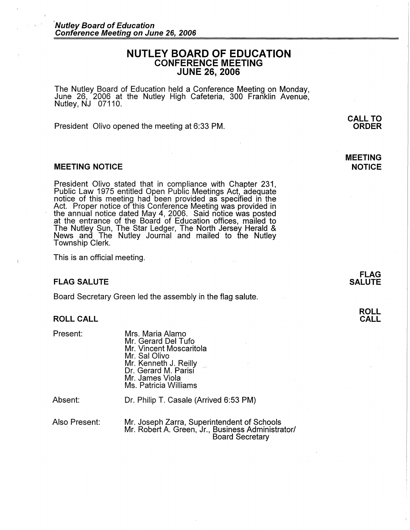# **NUTLEY BOARD OF EDUCATION CONFERENCE MEETING JUNE 26, 2006**

The Nutley Board of Education held a Conference Meeting on Monday, June 26, 2006 at the Nutley High Cafeteria, 300 Franklin Avenue, Nutley, NJ 07110.

President Olivo opened the meeting at 6:33 PM.

## **MEETING NOTICE**

President Olivo stated that in compliance with Chapter 231, Public Law 1975 entitled Open Public Meetings Act, adequate notice of this meeting had been provided as specified in the Act. Proper notice of this Conference Meeting was provided in the annual notice dated May 4, 2006. Said notice was posted at the entrance of the Board of Education offices, mailed to The Nutley Sun, The Star Ledger, The North Jersey Herald & News and The Nutley Journal and mailed to the Nutley Township Clerk.

This is an official meeting.

## **FLAG SALUTE**

Board Secretary Green led the assembly in the flag salute.

#### **ROLL CALL**

Present:

Mrs. Maria Alamo Mr. Gerard Del Tufo Mr. Vincent Moscaritola Mr. Sal Olivo Mr. Kenneth J. Reilly Dr. Gerard M. Parisi Mr. James Viola Ms. Patricia Williams

Absent:

Dr. Philip T. Casale (Arrived 6:53 PM)

Also Present:

Mr. Joseph Zarra, Superintendent of Schools Mr. Robert A. Green, Jr., Business Administrator/ Board Secretary

**FLAG SALUTE** 

**CALL TO ORDER** 

**MEETING NOTICE**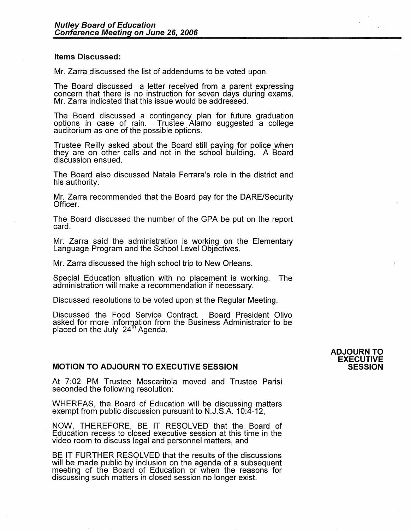## **Items Discussed:**

Mr. Zarra discussed the list of addendums to be voted upon.

The Board discussed a letter received from a parent expressing concern that there is no instruction for seven days during exams. Mr. Zarra indicated that this issue would be addressed.

The Board discussed a contingency plan for future graduation options in case of rain. Trustee Alamo suggested a college<br>auditorium as one of the possible options.

Trustee Reilly asked about the Board still paying for police when they are on other calls and not in the school building. A Board discussion ensued.

The Board also discussed Natale Ferrara's role in the district and his authority.

Mr. Zarra recommended that the Board pay for the DARE/Security Officer.

The Board discussed the number of the GPA be put on the report card.

Mr. Zarra said the administration is working on the Elementary Language Program and the School Level Objectives.

Mr. Zarra discussed the high school trip to New Orleans.

Special Education situation with no placement is working. The administration will make a recommendation if necessary.

Discussed resolutions to be voted upon at the Regular Meeting.

Discussed the Food Service Contract. Board President Olivo asked for more information from the Business Administrator to be placed on the July 24<sup>th</sup> Agenda.

## **MOTION TO ADJdURN TO EXECUTIVE SESSION**

At 7:02 PM Trustee Moscaritola moved and Trustee Parisi seconded the following resolution:

WHEREAS, the Board of Education will be discussing matters exempt from public discussion pursuant to N.J.S.A. 10:4-12,

NOW, THEREFORE, BE IT RESOLVED that the Board of Education recess to closed executive session at this time in the video room to discuss legal and personnel matters, and

BE IT FURTHER RESOLVED that the results of the discussions will be made public by inclusion on the agenda of a subsequent meeting of the Board of Education or when the reasons for discussing such matters in closed session no longer exist.

#### **ADJOURN TO EXECUTIVE SESSION**